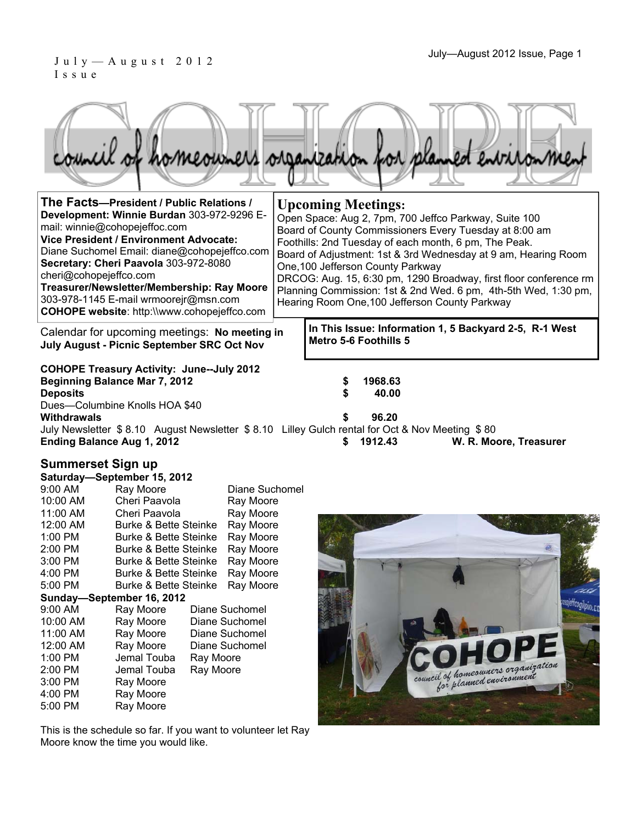#### $J$ uly—August 2012 Issue, Page 1 July—August 2012 Issue, Page 1 Issue

|  |  |  | council of homeowners organization for planned environment |
|--|--|--|------------------------------------------------------------|
|  |  |  |                                                            |

| The Facts--President / Public Relations /<br>Development: Winnie Burdan 303-972-9296 E-<br>mail: winnie@cohopejeffoc.com<br>Vice President / Environment Advocate:<br>Diane Suchomel Email: diane@cohopejeffco.com<br>Secretary: Cheri Paavola 303-972-8080<br>cheri@cohopejeffco.com<br>Treasurer/Newsletter/Membership: Ray Moore<br>303-978-1145 E-mail wrmoorejr@msn.com<br><b>COHOPE website: http://www.cohopejeffco.com</b> |  | <b>Upcoming Meetings:</b><br>Open Space: Aug 2, 7pm, 700 Jeffco Parkway, Suite 100<br>Board of County Commissioners Every Tuesday at 8:00 am<br>Foothills: 2nd Tuesday of each month, 6 pm, The Peak.<br>Board of Adjustment: 1st & 3rd Wednesday at 9 am, Hearing Room<br>One, 100 Jefferson County Parkway<br>DRCOG: Aug. 15, 6:30 pm, 1290 Broadway, first floor conference rm<br>Planning Commission: 1st & 2nd Wed. 6 pm, 4th-5th Wed, 1:30 pm,<br>Hearing Room One, 100 Jefferson County Parkway |  |  |  |  |
|------------------------------------------------------------------------------------------------------------------------------------------------------------------------------------------------------------------------------------------------------------------------------------------------------------------------------------------------------------------------------------------------------------------------------------|--|--------------------------------------------------------------------------------------------------------------------------------------------------------------------------------------------------------------------------------------------------------------------------------------------------------------------------------------------------------------------------------------------------------------------------------------------------------------------------------------------------------|--|--|--|--|
| Calendar for upcoming meetings: No meeting in<br><b>July August - Picnic September SRC Oct Nov</b>                                                                                                                                                                                                                                                                                                                                 |  | In This Issue: Information 1, 5 Backyard 2-5, R-1 West<br><b>Metro 5-6 Foothills 5</b>                                                                                                                                                                                                                                                                                                                                                                                                                 |  |  |  |  |
| <b>COHOPE Treasury Activity: June--July 2012</b>                                                                                                                                                                                                                                                                                                                                                                                   |  |                                                                                                                                                                                                                                                                                                                                                                                                                                                                                                        |  |  |  |  |

**Beginning Balance Mar 7, 2012 \$ 1968.63 Deposits \$ 40.00**  Dues—Columbine Knolls HOA \$40<br>Withdrawals **Withdrawals \$ 96.20** 

July Newsletter \$ 8.10 August Newsletter \$ 8.10 Lilley Gulch rental for Oct & Nov Meeting \$ 80

**Ending Balance Aug 1, 2012 \$ 1912.43 W. R. Moore, Treasurer** 

#### **Summerset Sign up**

| Saturday-September 15, 2012 |                                  |           |                |  |  |  |  |  |  |
|-----------------------------|----------------------------------|-----------|----------------|--|--|--|--|--|--|
| 9:00 AM                     | Ray Moore                        |           | Diane Suchomel |  |  |  |  |  |  |
| 10:00 AM                    | Cheri Paavola                    |           | Ray Moore      |  |  |  |  |  |  |
| 11:00 AM                    | Cheri Paavola                    |           | Ray Moore      |  |  |  |  |  |  |
| 12:00 AM                    | Burke & Bette Steinke            |           | Ray Moore      |  |  |  |  |  |  |
| 1:00 PM                     | <b>Burke &amp; Bette Steinke</b> |           | Ray Moore      |  |  |  |  |  |  |
| 2:00 PM                     | Burke & Bette Steinke            |           | Ray Moore      |  |  |  |  |  |  |
| 3:00 PM                     | <b>Burke &amp; Bette Steinke</b> |           | Ray Moore      |  |  |  |  |  |  |
| 4:00 PM                     | <b>Burke &amp; Bette Steinke</b> |           | Ray Moore      |  |  |  |  |  |  |
| 5:00 PM                     | <b>Burke &amp; Bette Steinke</b> |           | Ray Moore      |  |  |  |  |  |  |
|                             | Sunday—September 16, 2012        |           |                |  |  |  |  |  |  |
| $9:00$ AM                   | Ray Moore                        |           | Diane Suchomel |  |  |  |  |  |  |
| 10:00 AM                    | Ray Moore                        |           | Diane Suchomel |  |  |  |  |  |  |
| 11:00 AM                    | Ray Moore                        |           | Diane Suchomel |  |  |  |  |  |  |
| 12:00 AM                    | Ray Moore                        |           | Diane Suchomel |  |  |  |  |  |  |
| 1:00 PM                     | Jemal Touba                      | Ray Moore |                |  |  |  |  |  |  |
| 2:00 PM                     | Jemal Touba                      | Ray Moore |                |  |  |  |  |  |  |
| 3:00 PM                     | Ray Moore                        |           |                |  |  |  |  |  |  |
| 4:00 PM                     | Ray Moore                        |           |                |  |  |  |  |  |  |
| 5:00 PM                     | Ray Moore                        |           |                |  |  |  |  |  |  |
|                             |                                  |           |                |  |  |  |  |  |  |

This is the schedule so far. If you want to volunteer let Ray Moore know the time you would like.

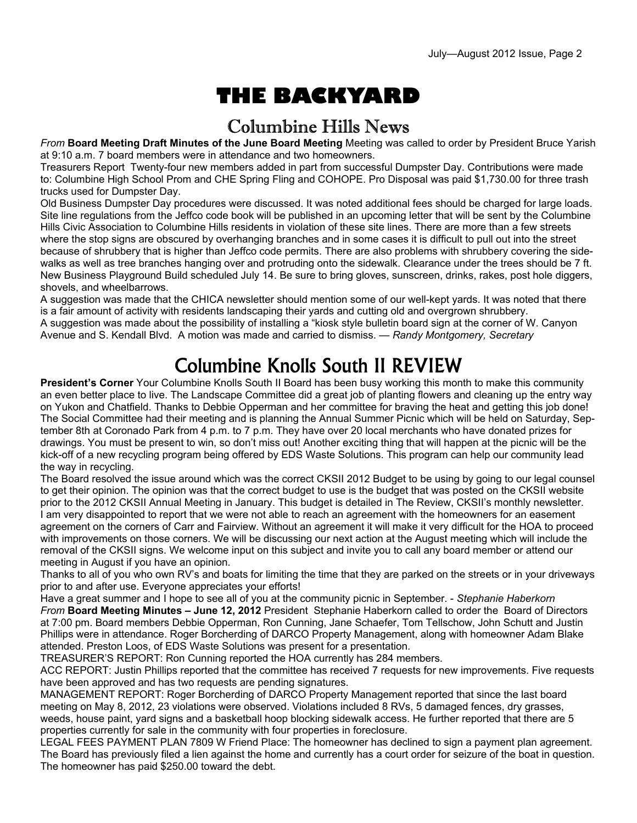# **THE BACKYARD**

### Columbine Hills News

*From* **Board Meeting Draft Minutes of the June Board Meeting** Meeting was called to order by President Bruce Yarish at 9:10 a.m. 7 board members were in attendance and two homeowners.

Treasurers Report Twenty-four new members added in part from successful Dumpster Day. Contributions were made to: Columbine High School Prom and CHE Spring Fling and COHOPE. Pro Disposal was paid \$1,730.00 for three trash trucks used for Dumpster Day.

Old Business Dumpster Day procedures were discussed. It was noted additional fees should be charged for large loads. Site line regulations from the Jeffco code book will be published in an upcoming letter that will be sent by the Columbine Hills Civic Association to Columbine Hills residents in violation of these site lines. There are more than a few streets where the stop signs are obscured by overhanging branches and in some cases it is difficult to pull out into the street because of shrubbery that is higher than Jeffco code permits. There are also problems with shrubbery covering the sidewalks as well as tree branches hanging over and protruding onto the sidewalk. Clearance under the trees should be 7 ft. New Business Playground Build scheduled July 14. Be sure to bring gloves, sunscreen, drinks, rakes, post hole diggers, shovels, and wheelbarrows.

A suggestion was made that the CHICA newsletter should mention some of our well-kept yards. It was noted that there is a fair amount of activity with residents landscaping their yards and cutting old and overgrown shrubbery. A suggestion was made about the possibility of installing a "kiosk style bulletin board sign at the corner of W. Canyon Avenue and S. Kendall Blvd. A motion was made and carried to dismiss. — *Randy Montgomery, Secretary* 

## Columbine Knolls South II REVIEW

**President's Corner** Your Columbine Knolls South II Board has been busy working this month to make this community an even better place to live. The Landscape Committee did a great job of planting flowers and cleaning up the entry way on Yukon and Chatfield. Thanks to Debbie Opperman and her committee for braving the heat and getting this job done! The Social Committee had their meeting and is planning the Annual Summer Picnic which will be held on Saturday, September 8th at Coronado Park from 4 p.m. to 7 p.m. They have over 20 local merchants who have donated prizes for drawings. You must be present to win, so don't miss out! Another exciting thing that will happen at the picnic will be the kick-off of a new recycling program being offered by EDS Waste Solutions. This program can help our community lead the way in recycling.

The Board resolved the issue around which was the correct CKSII 2012 Budget to be using by going to our legal counsel to get their opinion. The opinion was that the correct budget to use is the budget that was posted on the CKSII website prior to the 2012 CKSII Annual Meeting in January. This budget is detailed in The Review, CKSII's monthly newsletter. I am very disappointed to report that we were not able to reach an agreement with the homeowners for an easement agreement on the corners of Carr and Fairview. Without an agreement it will make it very difficult for the HOA to proceed with improvements on those corners. We will be discussing our next action at the August meeting which will include the removal of the CKSII signs. We welcome input on this subject and invite you to call any board member or attend our meeting in August if you have an opinion.

Thanks to all of you who own RV's and boats for limiting the time that they are parked on the streets or in your driveways prior to and after use. Everyone appreciates your efforts!

Have a great summer and I hope to see all of you at the community picnic in September. - *Stephanie Haberkorn From* **Board Meeting Minutes – June 12, 2012** President Stephanie Haberkorn called to order the Board of Directors at 7:00 pm. Board members Debbie Opperman, Ron Cunning, Jane Schaefer, Tom Tellschow, John Schutt and Justin Phillips were in attendance. Roger Borcherding of DARCO Property Management, along with homeowner Adam Blake attended. Preston Loos, of EDS Waste Solutions was present for a presentation.

TREASURER'S REPORT: Ron Cunning reported the HOA currently has 284 members.

ACC REPORT: Justin Phillips reported that the committee has received 7 requests for new improvements. Five requests have been approved and has two requests are pending signatures.

MANAGEMENT REPORT: Roger Borcherding of DARCO Property Management reported that since the last board meeting on May 8, 2012, 23 violations were observed. Violations included 8 RVs, 5 damaged fences, dry grasses, weeds, house paint, yard signs and a basketball hoop blocking sidewalk access. He further reported that there are 5 properties currently for sale in the community with four properties in foreclosure.

LEGAL FEES PAYMENT PLAN 7809 W Friend Place: The homeowner has declined to sign a payment plan agreement. The Board has previously filed a lien against the home and currently has a court order for seizure of the boat in question. The homeowner has paid \$250.00 toward the debt.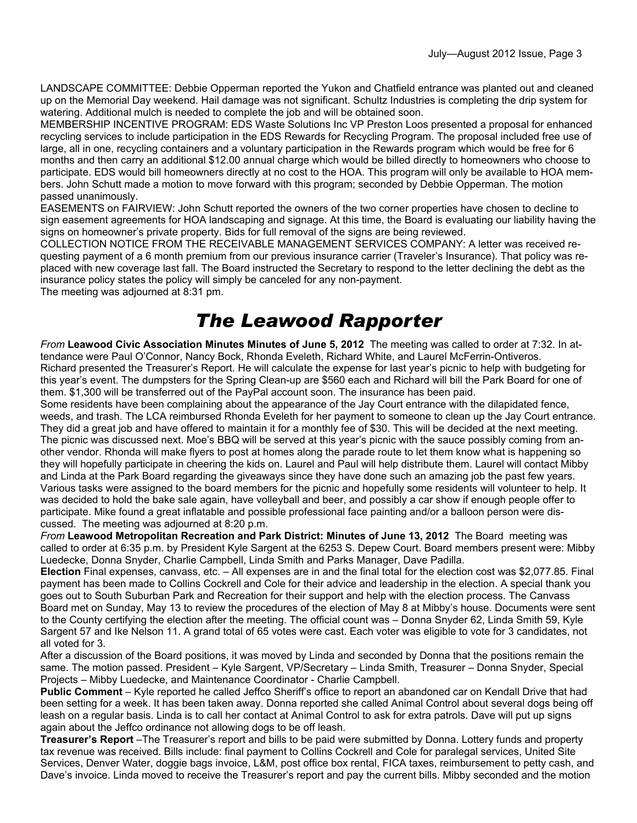LANDSCAPE COMMITTEE: Debbie Opperman reported the Yukon and Chatfield entrance was planted out and cleaned up on the Memorial Day weekend. Hail damage was not significant. Schultz Industries is completing the drip system for watering. Additional mulch is needed to complete the job and will be obtained soon.

MEMBERSHIP INCENTIVE PROGRAM: EDS Waste Solutions Inc VP Preston Loos presented a proposal for enhanced recycling services to include participation in the EDS Rewards for Recycling Program. The proposal included free use of large, all in one, recycling containers and a voluntary participation in the Rewards program which would be free for 6 months and then carry an additional \$12.00 annual charge which would be billed directly to homeowners who choose to participate. EDS would bill homeowners directly at no cost to the HOA. This program will only be available to HOA members. John Schutt made a motion to move forward with this program; seconded by Debbie Opperman. The motion passed unanimously.

EASEMENTS on FAIRVIEW: John Schutt reported the owners of the two corner properties have chosen to decline to sign easement agreements for HOA landscaping and signage. At this time, the Board is evaluating our liability having the signs on homeowner's private property. Bids for full removal of the signs are being reviewed.

COLLECTION NOTICE FROM THE RECEIVABLE MANAGEMENT SERVICES COMPANY: A letter was received requesting payment of a 6 month premium from our previous insurance carrier (Traveler's Insurance). That policy was replaced with new coverage last fall. The Board instructed the Secretary to respond to the letter declining the debt as the insurance policy states the policy will simply be canceled for any non-payment. The meeting was adjourned at 8:31 pm.

### *The Leawood Rapporter*

*From* **Leawood Civic Association Minutes Minutes of June 5, 2012** The meeting was called to order at 7:32. In attendance were Paul O'Connor, Nancy Bock, Rhonda Eveleth, Richard White, and Laurel McFerrin-Ontiveros. Richard presented the Treasurer's Report. He will calculate the expense for last year's picnic to help with budgeting for this year's event. The dumpsters for the Spring Clean-up are \$560 each and Richard will bill the Park Board for one of them. \$1,300 will be transferred out of the PayPal account soon. The insurance has been paid.

Some residents have been complaining about the appearance of the Jay Court entrance with the dilapidated fence, weeds, and trash. The LCA reimbursed Rhonda Eveleth for her payment to someone to clean up the Jay Court entrance. They did a great job and have offered to maintain it for a monthly fee of \$30. This will be decided at the next meeting. The picnic was discussed next. Moe's BBQ will be served at this year's picnic with the sauce possibly coming from another vendor. Rhonda will make flyers to post at homes along the parade route to let them know what is happening so they will hopefully participate in cheering the kids on. Laurel and Paul will help distribute them. Laurel will contact Mibby and Linda at the Park Board regarding the giveaways since they have done such an amazing job the past few years. Various tasks were assigned to the board members for the picnic and hopefully some residents will volunteer to help. It was decided to hold the bake sale again, have volleyball and beer, and possibly a car show if enough people offer to participate. Mike found a great inflatable and possible professional face painting and/or a balloon person were discussed. The meeting was adjourned at 8:20 p.m.

*From* **Leawood Metropolitan Recreation and Park District: Minutes of June 13, 2012** The Board meeting was called to order at 6:35 p.m. by President Kyle Sargent at the 6253 S. Depew Court. Board members present were: Mibby Luedecke, Donna Snyder, Charlie Campbell, Linda Smith and Parks Manager, Dave Padilla.

**Election** Final expenses, canvass, etc. – All expenses are in and the final total for the election cost was \$2,077.85. Final payment has been made to Collins Cockrell and Cole for their advice and leadership in the election. A special thank you goes out to South Suburban Park and Recreation for their support and help with the election process. The Canvass Board met on Sunday, May 13 to review the procedures of the election of May 8 at Mibby's house. Documents were sent to the County certifying the election after the meeting. The official count was – Donna Snyder 62, Linda Smith 59, Kyle Sargent 57 and Ike Nelson 11. A grand total of 65 votes were cast. Each voter was eligible to vote for 3 candidates, not all voted for 3.

After a discussion of the Board positions, it was moved by Linda and seconded by Donna that the positions remain the same. The motion passed. President – Kyle Sargent, VP/Secretary – Linda Smith, Treasurer – Donna Snyder, Special Projects – Mibby Luedecke, and Maintenance Coordinator - Charlie Campbell.

**Public Comment** – Kyle reported he called Jeffco Sheriff's office to report an abandoned car on Kendall Drive that had been setting for a week. It has been taken away. Donna reported she called Animal Control about several dogs being off leash on a regular basis. Linda is to call her contact at Animal Control to ask for extra patrols. Dave will put up signs again about the Jeffco ordinance not allowing dogs to be off leash.

**Treasurer's Report** –The Treasurer's report and bills to be paid were submitted by Donna. Lottery funds and property tax revenue was received. Bills include: final payment to Collins Cockrell and Cole for paralegal services, United Site Services, Denver Water, doggie bags invoice, L&M, post office box rental, FICA taxes, reimbursement to petty cash, and Dave's invoice. Linda moved to receive the Treasurer's report and pay the current bills. Mibby seconded and the motion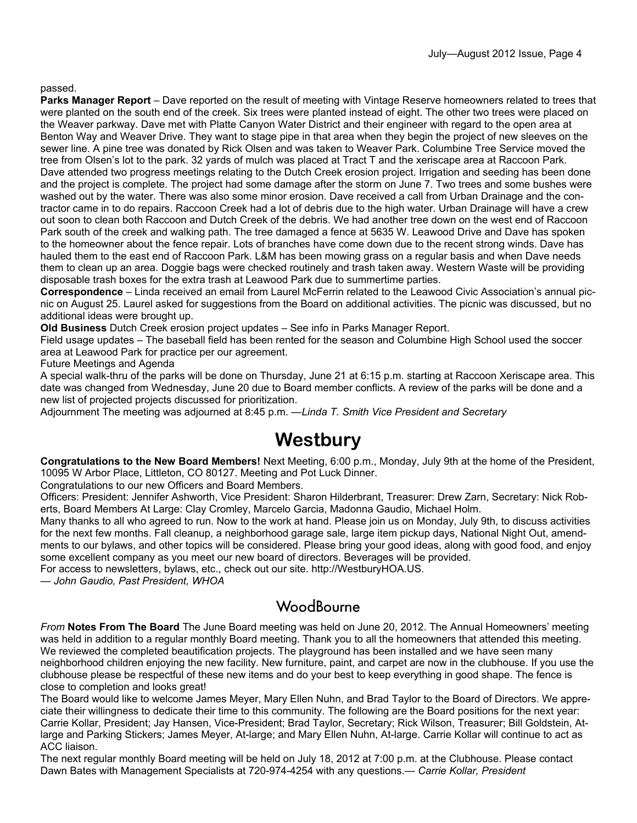#### passed.

**Parks Manager Report** – Dave reported on the result of meeting with Vintage Reserve homeowners related to trees that were planted on the south end of the creek. Six trees were planted instead of eight. The other two trees were placed on the Weaver parkway. Dave met with Platte Canyon Water District and their engineer with regard to the open area at Benton Way and Weaver Drive. They want to stage pipe in that area when they begin the project of new sleeves on the sewer line. A pine tree was donated by Rick Olsen and was taken to Weaver Park. Columbine Tree Service moved the tree from Olsen's lot to the park. 32 yards of mulch was placed at Tract T and the xeriscape area at Raccoon Park. Dave attended two progress meetings relating to the Dutch Creek erosion project. Irrigation and seeding has been done and the project is complete. The project had some damage after the storm on June 7. Two trees and some bushes were washed out by the water. There was also some minor erosion. Dave received a call from Urban Drainage and the contractor came in to do repairs. Raccoon Creek had a lot of debris due to the high water. Urban Drainage will have a crew out soon to clean both Raccoon and Dutch Creek of the debris. We had another tree down on the west end of Raccoon Park south of the creek and walking path. The tree damaged a fence at 5635 W. Leawood Drive and Dave has spoken to the homeowner about the fence repair. Lots of branches have come down due to the recent strong winds. Dave has hauled them to the east end of Raccoon Park. L&M has been mowing grass on a regular basis and when Dave needs them to clean up an area. Doggie bags were checked routinely and trash taken away. Western Waste will be providing disposable trash boxes for the extra trash at Leawood Park due to summertime parties.

**Correspondence** – Linda received an email from Laurel McFerrin related to the Leawood Civic Association's annual picnic on August 25. Laurel asked for suggestions from the Board on additional activities. The picnic was discussed, but no additional ideas were brought up.

**Old Business** Dutch Creek erosion project updates – See info in Parks Manager Report.

Field usage updates – The baseball field has been rented for the season and Columbine High School used the soccer area at Leawood Park for practice per our agreement.

Future Meetings and Agenda

A special walk-thru of the parks will be done on Thursday, June 21 at 6:15 p.m. starting at Raccoon Xeriscape area. This date was changed from Wednesday, June 20 due to Board member conflicts. A review of the parks will be done and a new list of projected projects discussed for prioritization.

Adjournment The meeting was adjourned at 8:45 p.m. —*Linda T. Smith Vice President and Secretary* 

### **Westbury**

**Congratulations to the New Board Members!** Next Meeting, 6:00 p.m., Monday, July 9th at the home of the President, 10095 W Arbor Place, Littleton, CO 80127. Meeting and Pot Luck Dinner.

Congratulations to our new Officers and Board Members.

Officers: President: Jennifer Ashworth, Vice President: Sharon Hilderbrant, Treasurer: Drew Zarn, Secretary: Nick Roberts, Board Members At Large: Clay Cromley, Marcelo Garcia, Madonna Gaudio, Michael Holm.

Many thanks to all who agreed to run. Now to the work at hand. Please join us on Monday, July 9th, to discuss activities for the next few months. Fall cleanup, a neighborhood garage sale, large item pickup days, National Night Out, amendments to our bylaws, and other topics will be considered. Please bring your good ideas, along with good food, and enjoy some excellent company as you meet our new board of directors. Beverages will be provided.

For access to newsletters, bylaws, etc., check out our site. http://WestburyHOA.US.

— *John Gaudio, Past President, WHOA* 

#### **WoodBourne**

*From* **Notes From The Board** The June Board meeting was held on June 20, 2012. The Annual Homeowners' meeting was held in addition to a regular monthly Board meeting. Thank you to all the homeowners that attended this meeting. We reviewed the completed beautification projects. The playground has been installed and we have seen many neighborhood children enjoying the new facility. New furniture, paint, and carpet are now in the clubhouse. If you use the clubhouse please be respectful of these new items and do your best to keep everything in good shape. The fence is close to completion and looks great!

The Board would like to welcome James Meyer, Mary Ellen Nuhn, and Brad Taylor to the Board of Directors. We appreciate their willingness to dedicate their time to this community. The following are the Board positions for the next year: Carrie Kollar, President; Jay Hansen, Vice-President; Brad Taylor, Secretary; Rick Wilson, Treasurer; Bill Goldstein, Atlarge and Parking Stickers; James Meyer, At-large; and Mary Ellen Nuhn, At-large. Carrie Kollar will continue to act as ACC liaison.

The next regular monthly Board meeting will be held on July 18, 2012 at 7:00 p.m. at the Clubhouse. Please contact Dawn Bates with Management Specialists at 720-974-4254 with any questions.*— Carrie Kollar, President*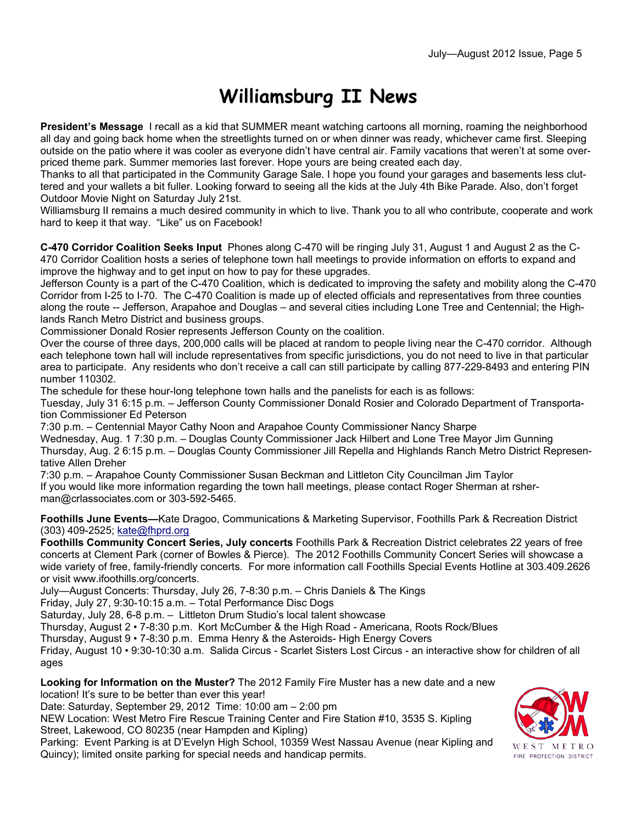## **Williamsburg II News**

**President's Message** I recall as a kid that SUMMER meant watching cartoons all morning, roaming the neighborhood all day and going back home when the streetlights turned on or when dinner was ready, whichever came first. Sleeping outside on the patio where it was cooler as everyone didn't have central air. Family vacations that weren't at some overpriced theme park. Summer memories last forever. Hope yours are being created each day.

Thanks to all that participated in the Community Garage Sale. I hope you found your garages and basements less cluttered and your wallets a bit fuller. Looking forward to seeing all the kids at the July 4th Bike Parade. Also, don't forget Outdoor Movie Night on Saturday July 21st.

Williamsburg II remains a much desired community in which to live. Thank you to all who contribute, cooperate and work hard to keep it that way. "Like" us on Facebook!

**C-470 Corridor Coalition Seeks Input** Phones along C-470 will be ringing July 31, August 1 and August 2 as the C-470 Corridor Coalition hosts a series of telephone town hall meetings to provide information on efforts to expand and improve the highway and to get input on how to pay for these upgrades.

Jefferson County is a part of the C-470 Coalition, which is dedicated to improving the safety and mobility along the C-470 Corridor from I-25 to I-70. The C-470 Coalition is made up of elected officials and representatives from three counties along the route -- Jefferson, Arapahoe and Douglas – and several cities including Lone Tree and Centennial; the Highlands Ranch Metro District and business groups.

Commissioner Donald Rosier represents Jefferson County on the coalition.

Over the course of three days, 200,000 calls will be placed at random to people living near the C-470 corridor. Although each telephone town hall will include representatives from specific jurisdictions, you do not need to live in that particular area to participate. Any residents who don't receive a call can still participate by calling 877-229-8493 and entering PIN number 110302.

The schedule for these hour-long telephone town halls and the panelists for each is as follows:

Tuesday, July 31 6:15 p.m. – Jefferson County Commissioner Donald Rosier and Colorado Department of Transportation Commissioner Ed Peterson

7:30 p.m. – Centennial Mayor Cathy Noon and Arapahoe County Commissioner Nancy Sharpe

Wednesday, Aug. 1 7:30 p.m. – Douglas County Commissioner Jack Hilbert and Lone Tree Mayor Jim Gunning Thursday, Aug. 2 6:15 p.m. – Douglas County Commissioner Jill Repella and Highlands Ranch Metro District Representative Allen Dreher

7:30 p.m. – Arapahoe County Commissioner Susan Beckman and Littleton City Councilman Jim Taylor If you would like more information regarding the town hall meetings, please contact Roger Sherman at rsherman@crlassociates.com or 303-592-5465.

**Foothills June Events—**Kate Dragoo, Communications & Marketing Supervisor, Foothills Park & Recreation District (303) 409-2525; kate@fhprd.org

**Foothills Community Concert Series, July concerts** Foothills Park & Recreation District celebrates 22 years of free concerts at Clement Park (corner of Bowles & Pierce). The 2012 Foothills Community Concert Series will showcase a wide variety of free, family-friendly concerts. For more information call Foothills Special Events Hotline at 303.409.2626 or visit www.ifoothills.org/concerts.

July—August Concerts: Thursday, July 26, 7-8:30 p.m. – Chris Daniels & The Kings

Friday, July 27, 9:30-10:15 a.m. – Total Performance Disc Dogs

Saturday, July 28, 6-8 p.m. – Littleton Drum Studio's local talent showcase

Thursday, August 2 • 7-8:30 p.m. Kort McCumber & the High Road - Americana, Roots Rock/Blues

Thursday, August 9 • 7-8:30 p.m. Emma Henry & the Asteroids- High Energy Covers

Friday, August 10 • 9:30-10:30 a.m. Salida Circus - Scarlet Sisters Lost Circus - an interactive show for children of all ages

**Looking for Information on the Muster?** The 2012 Family Fire Muster has a new date and a new location! It's sure to be better than ever this year!

Date: Saturday, September 29, 2012 Time: 10:00 am – 2:00 pm

NEW Location: West Metro Fire Rescue Training Center and Fire Station #10, 3535 S. Kipling Street, Lakewood, CO 80235 (near Hampden and Kipling)

Parking: Event Parking is at D'Evelyn High School, 10359 West Nassau Avenue (near Kipling and Quincy); limited onsite parking for special needs and handicap permits.